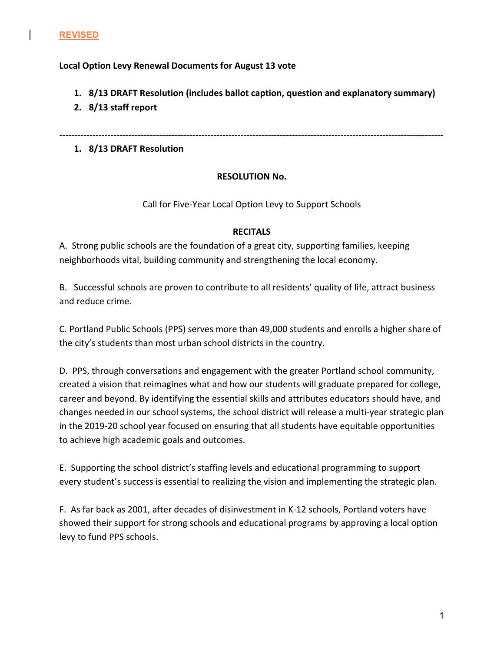## **Local Option Levy Renewal Documents for August 13 vote**

- **1. 8/13** DRAFT Resolution (includes ballot caption, question and explanatory summary)
- **2. 8/13 staff report**

**-------------------------------------------------------------------------------------------------------------------------------**

**1. 8/13 DRAFT Resolution**

# **RESOLUTION No.**

# Call for Five-Year Local Option Levy to Support Schools

## **RECITALS**

A. Strong public schools are the foundation of a great city, supporting families, keeping neighborhoods vital, building community and strengthening the local economy.

B. Successful schools are proven to contribute to all residents' quality of life, attract business and reduce crime.

C. Portland Public Schools (PPS) serves more than 49,000 students and enrolls a higher share of the city's students than most urban school districts in the country.

D. PPS, through conversations and engagement with the greater Portland school community, created a vision that reimagines what and how our students will graduate prepared for college, career and beyond. By identifying the essential skills and attributes educators should have, and changes needed in our school systems, the school district will release a multi-year strategic plan in the 2019-20 school year focused on ensuring that all students have equitable opportunities to achieve high academic goals and outcomes.

E. Supporting the school district's staffing levels and educational programming to support every student's success is essential to realizing the vision and implementing the strategic plan.

F. As far back as 2001, after decades of disinvestment in K-12 schools, Portland voters have showed their support for strong schools and educational programs by approving a local option levy to fund PPS schools.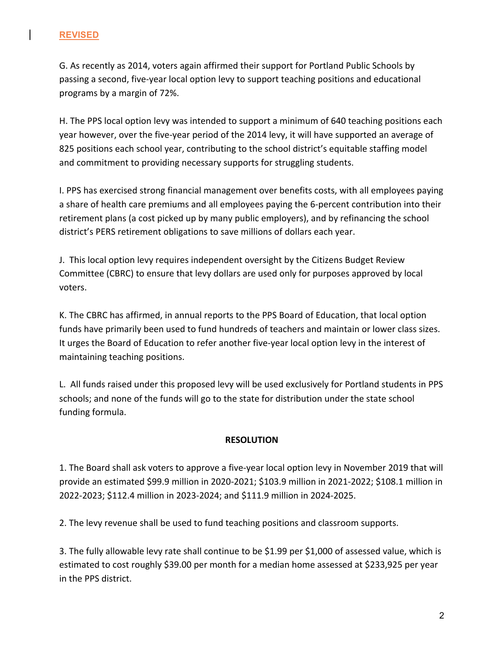## **REVISED**

G. As recently as 2014, voters again affirmed their support for Portland Public Schools by passing a second, five-year local option levy to support teaching positions and educational programs by a margin of 72%.

H. The PPS local option levy was intended to support a minimum of 640 teaching positions each year however, over the five-year period of the 2014 levy, it will have supported an average of 825 positions each school year, contributing to the school district's equitable staffing model and commitment to providing necessary supports for struggling students.

I. PPS has exercised strong financial management over benefits costs, with all employees paying a share of health care premiums and all employees paying the 6-percent contribution into their retirement plans (a cost picked up by many public employers), and by refinancing the school district's PERS retirement obligations to save millions of dollars each year.

J. This local option levy requires independent oversight by the Citizens Budget Review Committee (CBRC) to ensure that levy dollars are used only for purposes approved by local voters.

K. The CBRC has affirmed, in annual reports to the PPS Board of Education, that local option funds have primarily been used to fund hundreds of teachers and maintain or lower class sizes. It urges the Board of Education to refer another five-year local option levy in the interest of maintaining teaching positions.

L. All funds raised under this proposed levy will be used exclusively for Portland students in PPS schools; and none of the funds will go to the state for distribution under the state school funding formula.

## **RESOLUTION**

1. The Board shall ask voters to approve a five-year local option levy in November 2019 that will provide an estimated \$99.9 million in 2020-2021; \$103.9 million in 2021-2022; \$108.1 million in 2022-2023; \$112.4 million in 2023-2024; and \$111.9 million in 2024-2025.

2. The levy revenue shall be used to fund teaching positions and classroom supports.

3. The fully allowable levy rate shall continue to be \$1.99 per \$1,000 of assessed value, which is estimated to cost roughly \$39.00 per month for a median home assessed at \$233,925 per year in the PPS district.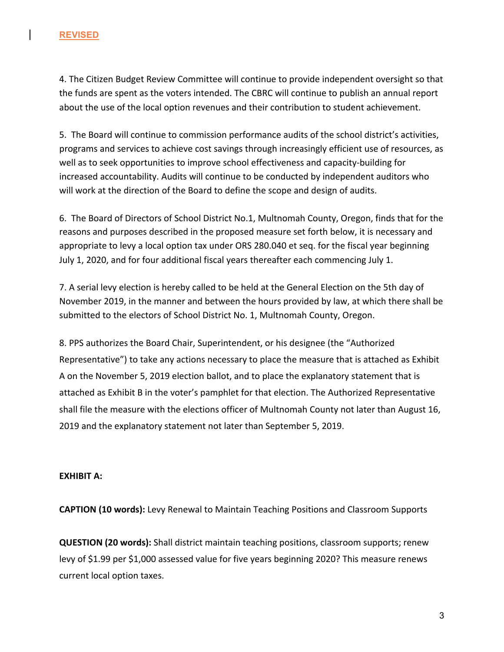## **REVISED**

4. The Citizen Budget Review Committee will continue to provide independent oversight so that the funds are spent as the voters intended. The CBRC will continue to publish an annual report about the use of the local option revenues and their contribution to student achievement.

5. The Board will continue to commission performance audits of the school district's activities, programs and services to achieve cost savings through increasingly efficient use of resources, as well as to seek opportunities to improve school effectiveness and capacity-building for increased accountability. Audits will continue to be conducted by independent auditors who will work at the direction of the Board to define the scope and design of audits.

6. The Board of Directors of School District No.1, Multnomah County, Oregon, finds that for the reasons and purposes described in the proposed measure set forth below, it is necessary and appropriate to levy a local option tax under ORS 280.040 et seq. for the fiscal year beginning July 1, 2020, and for four additional fiscal years thereafter each commencing July 1.

7. A serial levy election is hereby called to be held at the General Election on the 5th day of November 2019, in the manner and between the hours provided by law, at which there shall be submitted to the electors of School District No. 1, Multnomah County, Oregon.

8. PPS authorizes the Board Chair, Superintendent, or his designee (the "Authorized Representative") to take any actions necessary to place the measure that is attached as Exhibit A on the November 5, 2019 election ballot, and to place the explanatory statement that is attached as Exhibit B in the voter's pamphlet for that election. The Authorized Representative shall file the measure with the elections officer of Multnomah County not later than August 16, 2019 and the explanatory statement not later than September 5, 2019.

## **EXHIBIT A:**

**CAPTION (10 words):** Levy Renewal to Maintain Teaching Positions and Classroom Supports

**QUESTION (20 words):** Shall district maintain teaching positions, classroom supports; renew levy of \$1.99 per \$1,000 assessed value for five years beginning 2020? This measure renews current local option taxes.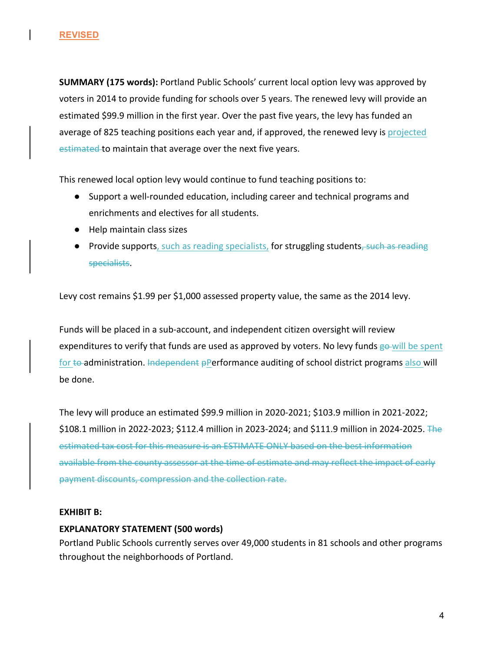**SUMMARY (175 words):** Portland Public Schools' current local option levy was approved by voters in 2014 to provide funding for schools over 5 years. The renewed levy will provide an estimated \$99.9 million in the first year. Over the past five years, the levy has funded an average of 825 teaching positions each year and, if approved, the renewed levy is projected estimated to maintain that average over the next five years.

This renewed local option levy would continue to fund teaching positions to:

- Support a well-rounded education, including career and technical programs and enrichments and electives for all students.
- Help maintain class sizes
- Provide supports, such as reading specialists, for struggling students<del>, such as reading</del> specialists.

Levy cost remains \$1.99 per \$1,000 assessed property value, the same as the 2014 levy.

Funds will be placed in a sub-account, and independent citizen oversight will review expenditures to verify that funds are used as approved by voters. No levy funds go-will be spent for  $\text{te}$ -administration. Independent pPerformance auditing of school district programs also will be done.

The levy will produce an estimated \$99.9 million in 2020-2021; \$103.9 million in 2021-2022; \$108.1 million in 2022-2023; \$112.4 million in 2023-2024; and \$111.9 million in 2024-2025. The estimated tax cost for this measure is an ESTIMATE ONLY based on the best information available from the county assessor at the time of estimate and may reflect the impact of early payment discounts, compression and the collection rate.

## **EXHIBIT B:**

## **EXPLANATORY STATEMENT (500 words)**

Portland Public Schools currently serves over 49,000 students in 81 schools and other programs throughout the neighborhoods of Portland.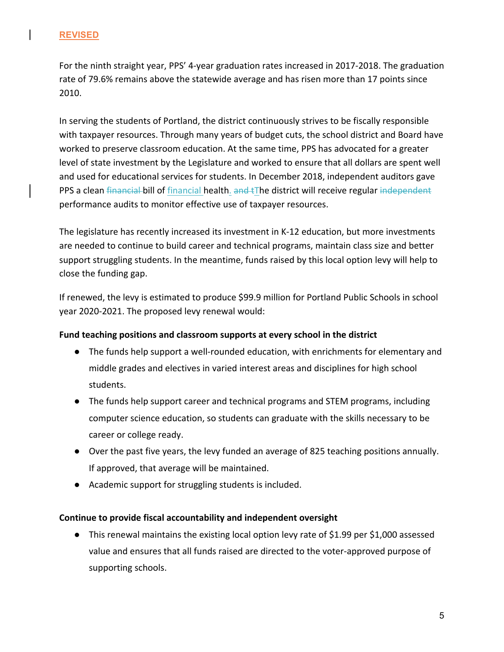## **REVISED**

For the ninth straight year, PPS' 4-year graduation rates increased in 2017-2018. The graduation rate of 79.6% remains above the statewide average and has risen more than 17 points since 2010. 

In serving the students of Portland, the district continuously strives to be fiscally responsible with taxpayer resources. Through many years of budget cuts, the school district and Board have worked to preserve classroom education. At the same time, PPS has advocated for a greater level of state investment by the Legislature and worked to ensure that all dollars are spent well and used for educational services for students. In December 2018, independent auditors gave PPS a clean financial bill of financial health. and tThe district will receive regular independent performance audits to monitor effective use of taxpayer resources.

The legislature has recently increased its investment in K-12 education, but more investments are needed to continue to build career and technical programs, maintain class size and better support struggling students. In the meantime, funds raised by this local option levy will help to close the funding gap.

If renewed, the levy is estimated to produce \$99.9 million for Portland Public Schools in school year 2020-2021. The proposed levy renewal would:

# Fund teaching positions and classroom supports at every school in the district

- The funds help support a well-rounded education, with enrichments for elementary and middle grades and electives in varied interest areas and disciplines for high school students.
- The funds help support career and technical programs and STEM programs, including computer science education, so students can graduate with the skills necessary to be career or college ready.
- Over the past five years, the levy funded an average of 825 teaching positions annually. If approved, that average will be maintained.
- Academic support for struggling students is included.

## **Continue to provide fiscal accountability and independent oversight**

• This renewal maintains the existing local option levy rate of \$1.99 per \$1,000 assessed value and ensures that all funds raised are directed to the voter-approved purpose of supporting schools.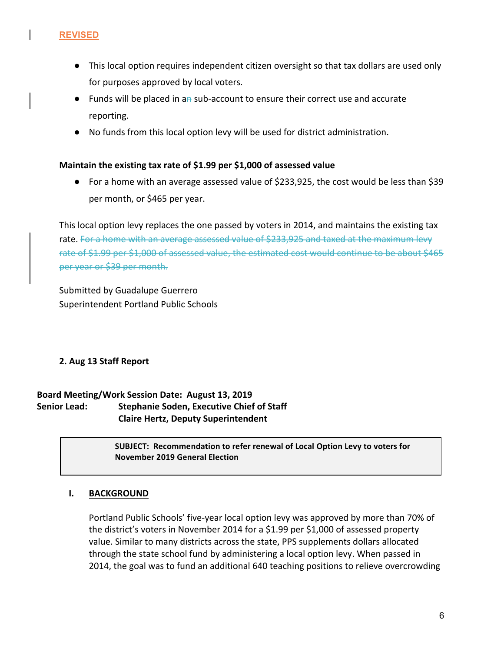- This local option requires independent citizen oversight so that tax dollars are used only for purposes approved by local voters.
- Funds will be placed in an sub-account to ensure their correct use and accurate reporting.
- No funds from this local option levy will be used for district administration.

#### **Maintain the existing tax rate of \$1.99 per \$1,000 of assessed value**

 $\bullet$  For a home with an average assessed value of \$233,925, the cost would be less than \$39 per month, or \$465 per year.

This local option levy replaces the one passed by voters in 2014, and maintains the existing tax rate. For a home with an average assessed value of \$233,925 and taxed at the maximum levy rate of \$1.99 per \$1,000 of assessed value, the estimated cost would continue to be about \$465 per year or \$39 per month.

Submitted by Guadalupe Guerrero Superintendent Portland Public Schools

## **2. Aug 13 Staff Report**

# Board Meeting/Work Session Date: August 13, 2019 **Senior Lead:** Stephanie Soden, Executive Chief of Staff  **Claire Hertz, Deputy Superintendent**

**SUBJECT: Recommendation to refer renewal of Local Option Levy to voters for November 2019 General Election**

## **I. BACKGROUND**

Portland Public Schools' five-year local option levy was approved by more than 70% of the district's voters in November 2014 for a \$1.99 per \$1,000 of assessed property value. Similar to many districts across the state, PPS supplements dollars allocated through the state school fund by administering a local option levy. When passed in 2014, the goal was to fund an additional 640 teaching positions to relieve overcrowding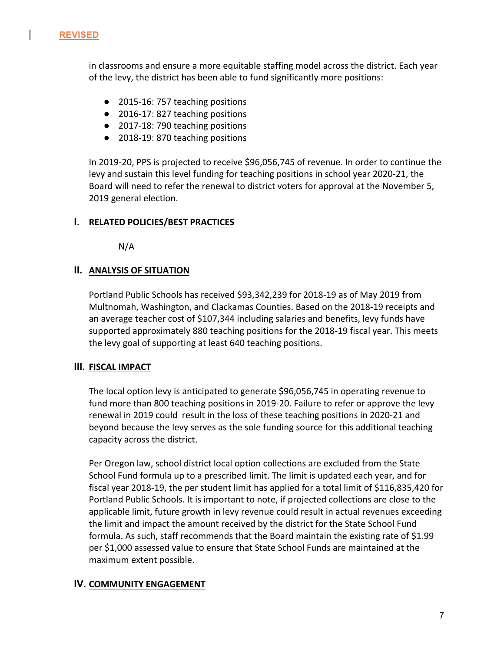

in classrooms and ensure a more equitable staffing model across the district. Each year of the levy, the district has been able to fund significantly more positions:

- 2015-16: 757 teaching positions
- 2016-17: 827 teaching positions
- 2017-18: 790 teaching positions
- 2018-19: 870 teaching positions

In 2019-20, PPS is projected to receive \$96,056,745 of revenue. In order to continue the levy and sustain this level funding for teaching positions in school year 2020-21, the Board will need to refer the renewal to district voters for approval at the November 5, 2019 general election.

## **I.** RELATED POLICIES/BEST PRACTICES

N/A

## **II. ANALYSIS OF SITUATION**

Portland Public Schools has received \$93,342,239 for 2018-19 as of May 2019 from Multnomah, Washington, and Clackamas Counties. Based on the 2018-19 receipts and an average teacher cost of \$107,344 including salaries and benefits, levy funds have supported approximately 880 teaching positions for the 2018-19 fiscal year. This meets the levy goal of supporting at least 640 teaching positions.

## **III.** FISCAL IMPACT

The local option levy is anticipated to generate \$96,056,745 in operating revenue to fund more than 800 teaching positions in 2019-20. Failure to refer or approve the levy renewal in 2019 could result in the loss of these teaching positions in 2020-21 and beyond because the levy serves as the sole funding source for this additional teaching capacity across the district.

Per Oregon law, school district local option collections are excluded from the State School Fund formula up to a prescribed limit. The limit is updated each year, and for fiscal year 2018-19, the per student limit has applied for a total limit of \$116,835,420 for Portland Public Schools. It is important to note, if projected collections are close to the applicable limit, future growth in levy revenue could result in actual revenues exceeding the limit and impact the amount received by the district for the State School Fund formula. As such, staff recommends that the Board maintain the existing rate of \$1.99 per \$1,000 assessed value to ensure that State School Funds are maintained at the maximum extent possible.

## **IV. COMMUNITY ENGAGEMENT**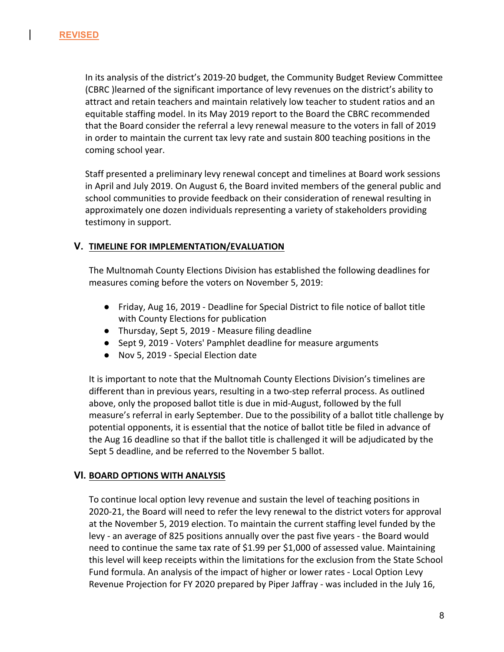In its analysis of the district's 2019-20 budget, the Community Budget Review Committee (CBRC ) learned of the significant importance of levy revenues on the district's ability to attract and retain teachers and maintain relatively low teacher to student ratios and an equitable staffing model. In its May 2019 report to the Board the CBRC recommended that the Board consider the referral a levy renewal measure to the voters in fall of 2019 in order to maintain the current tax levy rate and sustain 800 teaching positions in the coming school year.

Staff presented a preliminary levy renewal concept and timelines at Board work sessions in April and July 2019. On August 6, the Board invited members of the general public and school communities to provide feedback on their consideration of renewal resulting in approximately one dozen individuals representing a variety of stakeholders providing testimony in support.

## **V. TIMELINE FOR IMPLEMENTATION/EVALUATION**

The Multnomah County Elections Division has established the following deadlines for measures coming before the voters on November 5, 2019:

- Friday, Aug 16, 2019 Deadline for Special District to file notice of ballot title with County Elections for publication
- Thursday, Sept 5, 2019 Measure filing deadline
- Sept 9, 2019 Voters' Pamphlet deadline for measure arguments
- Nov 5, 2019 Special Election date

It is important to note that the Multnomah County Elections Division's timelines are different than in previous years, resulting in a two-step referral process. As outlined above, only the proposed ballot title is due in mid-August, followed by the full measure's referral in early September. Due to the possibility of a ballot title challenge by potential opponents, it is essential that the notice of ballot title be filed in advance of the Aug 16 deadline so that if the ballot title is challenged it will be adjudicated by the Sept 5 deadline, and be referred to the November 5 ballot.

## **VI. BOARD OPTIONS WITH ANALYSIS**

To continue local option levy revenue and sustain the level of teaching positions in 2020-21, the Board will need to refer the levy renewal to the district voters for approval at the November 5, 2019 election. To maintain the current staffing level funded by the levy - an average of 825 positions annually over the past five years - the Board would need to continue the same tax rate of \$1.99 per \$1,000 of assessed value. Maintaining this level will keep receipts within the limitations for the exclusion from the State School Fund formula. An analysis of the impact of higher or lower rates - Local Option Levy Revenue Projection for FY 2020 prepared by Piper Jaffray - was included in the July 16,